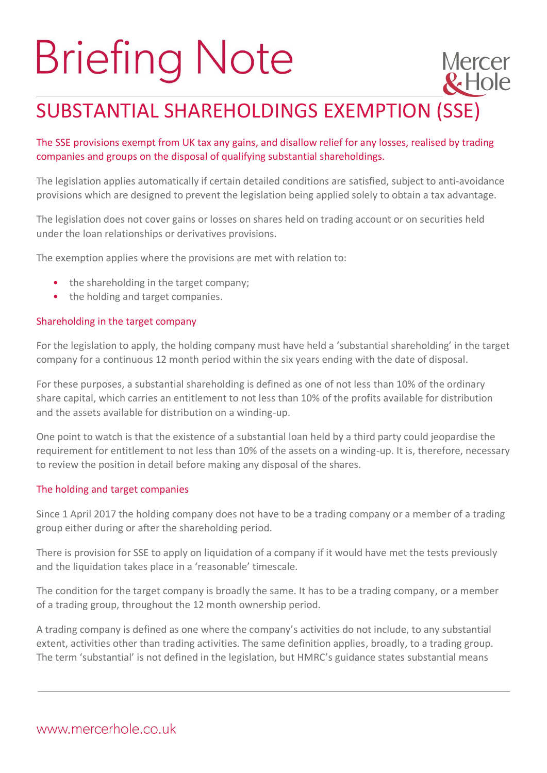# **Briefing Note**

# SUBSTANTIAL SHAREHOLDINGS EXEMPTION (SSE)

**Mercer** 

 $R$ Hole

## The SSE provisions exempt from UK tax any gains, and disallow relief for any losses, realised by trading companies and groups on the disposal of qualifying substantial shareholdings.

The legislation applies automatically if certain detailed conditions are satisfied, subject to anti-avoidance provisions which are designed to prevent the legislation being applied solely to obtain a tax advantage.

The legislation does not cover gains or losses on shares held on trading account or on securities held under the loan relationships or derivatives provisions.

The exemption applies where the provisions are met with relation to:

- the shareholding in the target company;
- the holding and target companies.

### Shareholding in the target company

For the legislation to apply, the holding company must have held a 'substantial shareholding' in the target company for a continuous 12 month period within the six years ending with the date of disposal.

For these purposes, a substantial shareholding is defined as one of not less than 10% of the ordinary share capital, which carries an entitlement to not less than 10% of the profits available for distribution and the assets available for distribution on a winding-up.

One point to watch is that the existence of a substantial loan held by a third party could jeopardise the requirement for entitlement to not less than 10% of the assets on a winding-up. It is, therefore, necessary to review the position in detail before making any disposal of the shares.

#### The holding and target companies

Since 1 April 2017 the holding company does not have to be a trading company or a member of a trading group either during or after the shareholding period.

There is provision for SSE to apply on liquidation of a company if it would have met the tests previously and the liquidation takes place in a 'reasonable' timescale.

The condition for the target company is broadly the same. It has to be a trading company, or a member of a trading group, throughout the 12 month ownership period.

A trading company is defined as one where the company's activities do not include, to any substantial extent, activities other than trading activities. The same definition applies, broadly, to a trading group. The term 'substantial' is not defined in the legislation, but HMRC's guidance states substantial means